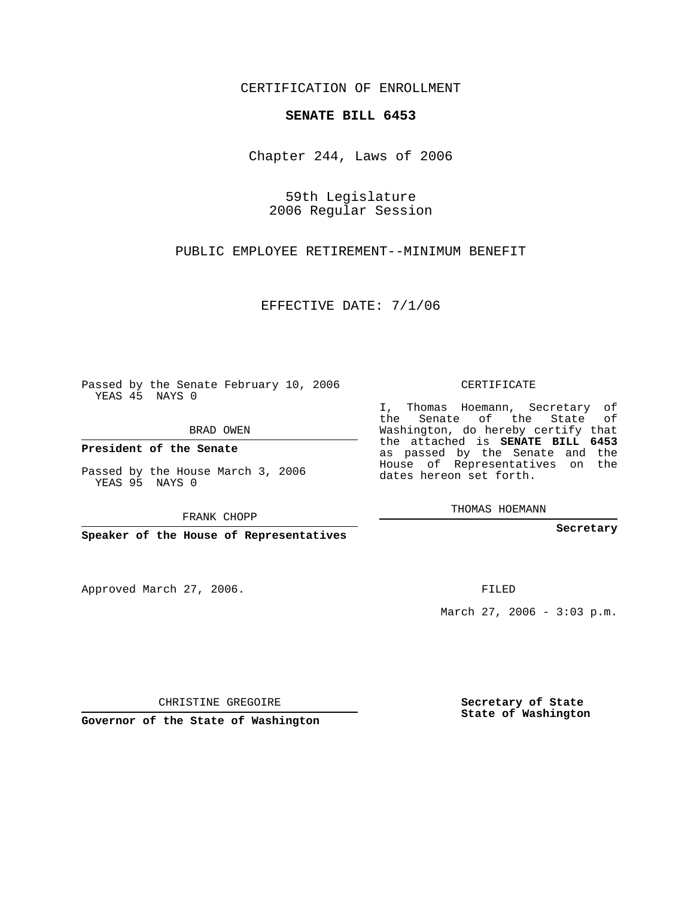CERTIFICATION OF ENROLLMENT

## **SENATE BILL 6453**

Chapter 244, Laws of 2006

59th Legislature 2006 Regular Session

PUBLIC EMPLOYEE RETIREMENT--MINIMUM BENEFIT

EFFECTIVE DATE: 7/1/06

Passed by the Senate February 10, 2006 YEAS 45 NAYS 0

BRAD OWEN

**President of the Senate**

Passed by the House March 3, 2006 YEAS 95 NAYS 0

FRANK CHOPP

**Speaker of the House of Representatives**

Approved March 27, 2006.

CERTIFICATE

I, Thomas Hoemann, Secretary of the Senate of the State of Washington, do hereby certify that the attached is **SENATE BILL 6453** as passed by the Senate and the House of Representatives on the dates hereon set forth.

THOMAS HOEMANN

**Secretary**

FILED

March 27, 2006 - 3:03 p.m.

CHRISTINE GREGOIRE

**Governor of the State of Washington**

**Secretary of State State of Washington**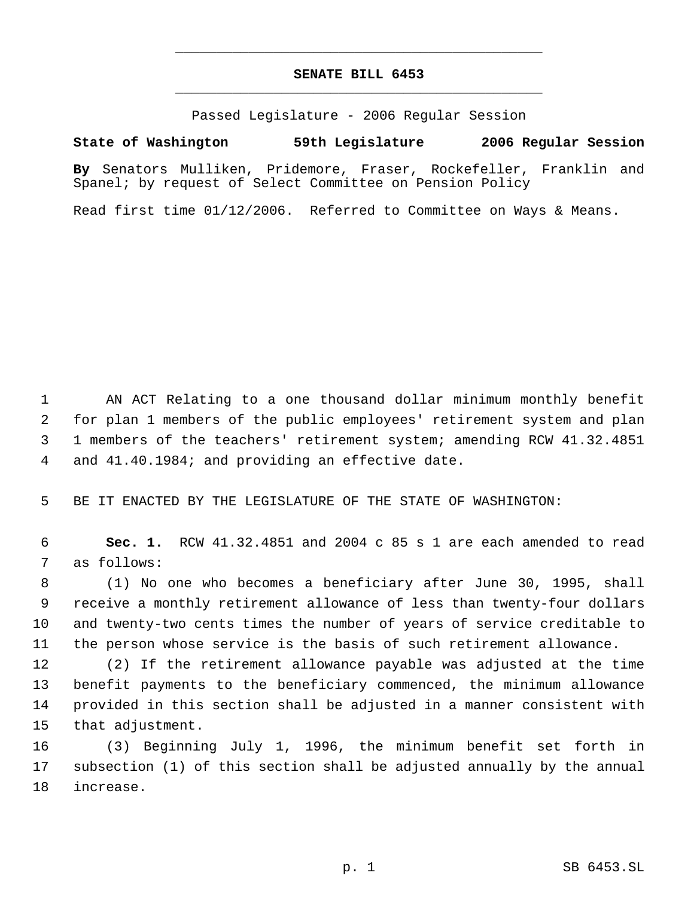## **SENATE BILL 6453** \_\_\_\_\_\_\_\_\_\_\_\_\_\_\_\_\_\_\_\_\_\_\_\_\_\_\_\_\_\_\_\_\_\_\_\_\_\_\_\_\_\_\_\_\_

\_\_\_\_\_\_\_\_\_\_\_\_\_\_\_\_\_\_\_\_\_\_\_\_\_\_\_\_\_\_\_\_\_\_\_\_\_\_\_\_\_\_\_\_\_

Passed Legislature - 2006 Regular Session

## **State of Washington 59th Legislature 2006 Regular Session**

**By** Senators Mulliken, Pridemore, Fraser, Rockefeller, Franklin and Spanel; by request of Select Committee on Pension Policy

Read first time 01/12/2006. Referred to Committee on Ways & Means.

 AN ACT Relating to a one thousand dollar minimum monthly benefit for plan 1 members of the public employees' retirement system and plan 1 members of the teachers' retirement system; amending RCW 41.32.4851 and 41.40.1984; and providing an effective date.

BE IT ENACTED BY THE LEGISLATURE OF THE STATE OF WASHINGTON:

 **Sec. 1.** RCW 41.32.4851 and 2004 c 85 s 1 are each amended to read as follows:

 (1) No one who becomes a beneficiary after June 30, 1995, shall receive a monthly retirement allowance of less than twenty-four dollars and twenty-two cents times the number of years of service creditable to the person whose service is the basis of such retirement allowance.

 (2) If the retirement allowance payable was adjusted at the time benefit payments to the beneficiary commenced, the minimum allowance provided in this section shall be adjusted in a manner consistent with that adjustment.

 (3) Beginning July 1, 1996, the minimum benefit set forth in subsection (1) of this section shall be adjusted annually by the annual increase.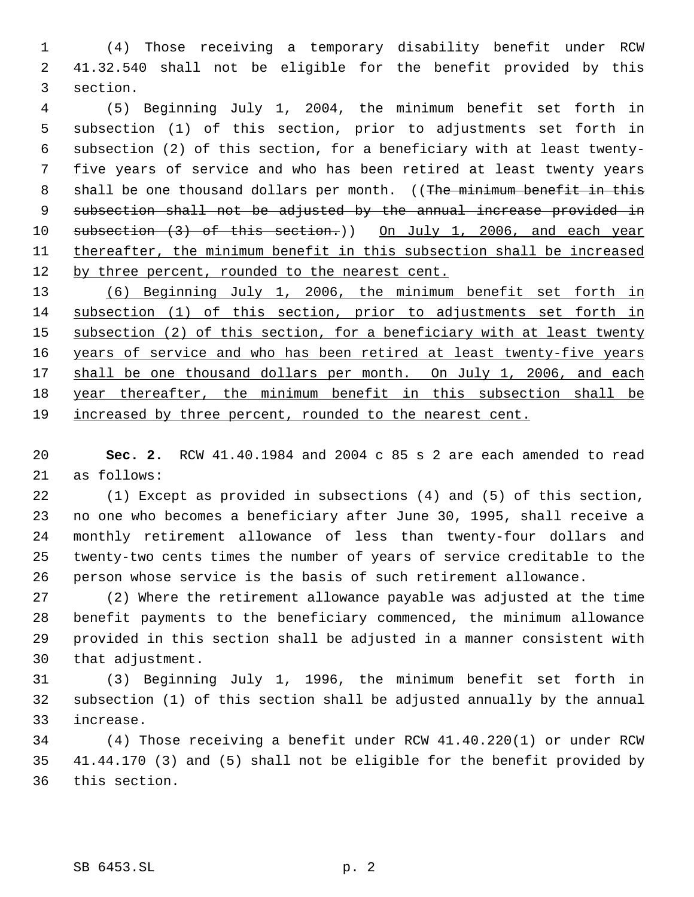(4) Those receiving a temporary disability benefit under RCW 41.32.540 shall not be eligible for the benefit provided by this section.

 (5) Beginning July 1, 2004, the minimum benefit set forth in subsection (1) of this section, prior to adjustments set forth in subsection (2) of this section, for a beneficiary with at least twenty- five years of service and who has been retired at least twenty years 8 shall be one thousand dollars per month. ((The minimum benefit in this subsection shall not be adjusted by the annual increase provided in 10 subsection (3) of this section.)) On July 1, 2006, and each year thereafter, the minimum benefit in this subsection shall be increased 12 by three percent, rounded to the nearest cent.

 (6) Beginning July 1, 2006, the minimum benefit set forth in subsection (1) of this section, prior to adjustments set forth in 15 subsection (2) of this section, for a beneficiary with at least twenty 16 years of service and who has been retired at least twenty-five years 17 shall be one thousand dollars per month. On July 1, 2006, and each year thereafter, the minimum benefit in this subsection shall be increased by three percent, rounded to the nearest cent.

 **Sec. 2.** RCW 41.40.1984 and 2004 c 85 s 2 are each amended to read as follows:

 (1) Except as provided in subsections (4) and (5) of this section, no one who becomes a beneficiary after June 30, 1995, shall receive a monthly retirement allowance of less than twenty-four dollars and twenty-two cents times the number of years of service creditable to the person whose service is the basis of such retirement allowance.

 (2) Where the retirement allowance payable was adjusted at the time benefit payments to the beneficiary commenced, the minimum allowance provided in this section shall be adjusted in a manner consistent with that adjustment.

 (3) Beginning July 1, 1996, the minimum benefit set forth in subsection (1) of this section shall be adjusted annually by the annual increase.

 (4) Those receiving a benefit under RCW 41.40.220(1) or under RCW 41.44.170 (3) and (5) shall not be eligible for the benefit provided by this section.